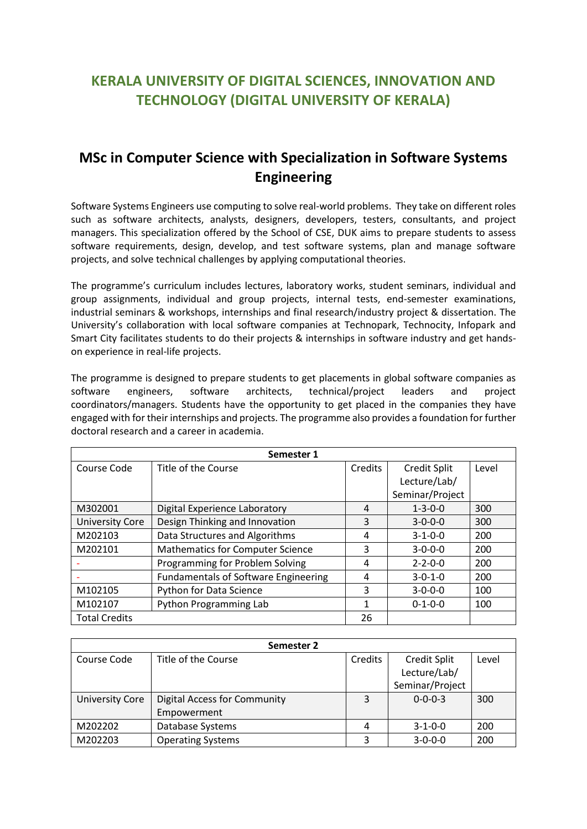## **KERALA UNIVERSITY OF DIGITAL SCIENCES, INNOVATION AND TECHNOLOGY (DIGITAL UNIVERSITY OF KERALA)**

## **MSc in Computer Science with Specialization in Software Systems Engineering**

Software Systems Engineers use computing to solve real-world problems. They take on different roles such as software architects, analysts, designers, developers, testers, consultants, and project managers. This specialization offered by the School of CSE, DUK aims to prepare students to assess software requirements, design, develop, and test software systems, plan and manage software projects, and solve technical challenges by applying computational theories.

The programme's curriculum includes lectures, laboratory works, student seminars, individual and group assignments, individual and group projects, internal tests, end-semester examinations, industrial seminars & workshops, internships and final research/industry project & dissertation. The University's collaboration with local software companies at Technopark, Technocity, Infopark and Smart City facilitates students to do their projects & internships in software industry and get handson experience in real-life projects.

The programme is designed to prepare students to get placements in global software companies as software engineers, software architects, technical/project leaders and project coordinators/managers. Students have the opportunity to get placed in the companies they have engaged with for their internships and projects. The programme also provides a foundation for further doctoral research and a career in academia.

| Semester 1             |                                             |                |                     |       |
|------------------------|---------------------------------------------|----------------|---------------------|-------|
| Course Code            | Title of the Course                         | <b>Credits</b> | <b>Credit Split</b> | Level |
|                        |                                             |                | Lecture/Lab/        |       |
|                        |                                             |                | Seminar/Project     |       |
| M302001                | Digital Experience Laboratory               | 4              | $1 - 3 - 0 - 0$     | 300   |
| <b>University Core</b> | Design Thinking and Innovation              | 3              | $3 - 0 - 0 - 0$     | 300   |
| M202103                | Data Structures and Algorithms              | 4              | $3 - 1 - 0 - 0$     | 200   |
| M202101                | <b>Mathematics for Computer Science</b>     | 3              | $3 - 0 - 0 - 0$     | 200   |
|                        | Programming for Problem Solving             | 4              | $2 - 2 - 0 - 0$     | 200   |
|                        | <b>Fundamentals of Software Engineering</b> | 4              | $3 - 0 - 1 - 0$     | 200   |
| M102105                | Python for Data Science                     | 3              | $3 - 0 - 0 - 0$     | 100   |
| M102107                | Python Programming Lab                      | 1              | $0 - 1 - 0 - 0$     | 100   |
| <b>Total Credits</b>   |                                             | 26             |                     |       |

| Semester 2             |                                                    |         |                                                        |       |  |
|------------------------|----------------------------------------------------|---------|--------------------------------------------------------|-------|--|
| Course Code            | Title of the Course                                | Credits | <b>Credit Split</b><br>Lecture/Lab/<br>Seminar/Project | Level |  |
| <b>University Core</b> | <b>Digital Access for Community</b><br>Empowerment | 3       | $0 - 0 - 0 - 3$                                        | 300   |  |
| M202202                | Database Systems                                   | 4       | $3 - 1 - 0 - 0$                                        | 200   |  |
| M202203                | <b>Operating Systems</b>                           | 3       | $3 - 0 - 0 - 0$                                        | 200   |  |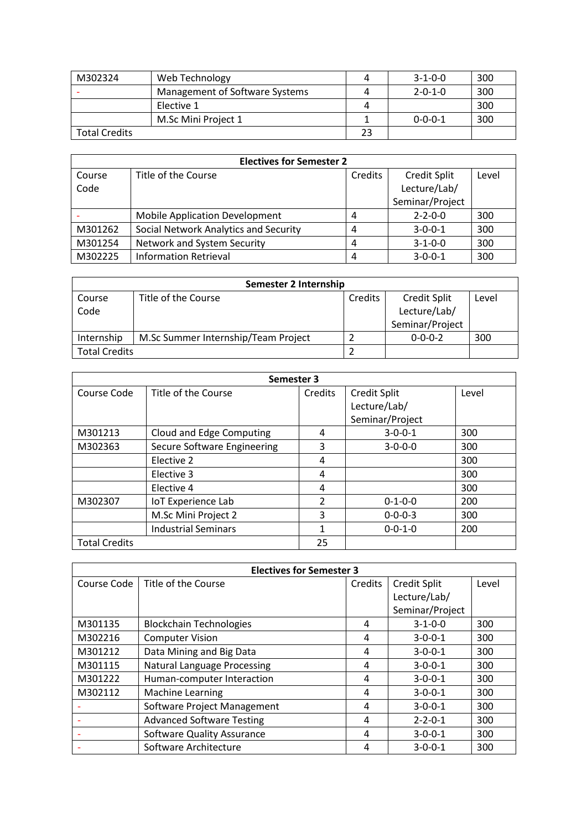| M302324              | Web Technology                 | 4  | $3 - 1 - 0 - 0$ | 300 |
|----------------------|--------------------------------|----|-----------------|-----|
|                      | Management of Software Systems | Д  | $2 - 0 - 1 - 0$ | 300 |
|                      | Elective 1                     | 4  |                 | 300 |
|                      | M.Sc Mini Project 1            |    | $0 - 0 - 0 - 1$ | 300 |
| <b>Total Credits</b> |                                | 23 |                 |     |

| <b>Electives for Semester 2</b> |                                       |         |                 |       |  |
|---------------------------------|---------------------------------------|---------|-----------------|-------|--|
| Course                          | Title of the Course                   | Credits | Credit Split    | Level |  |
| Code                            |                                       |         | Lecture/Lab/    |       |  |
|                                 |                                       |         | Seminar/Project |       |  |
|                                 | <b>Mobile Application Development</b> | 4       | $2 - 2 - 0 - 0$ | 300   |  |
| M301262                         | Social Network Analytics and Security | 4       | $3 - 0 - 0 - 1$ | 300   |  |
| M301254                         | Network and System Security           | 4       | $3 - 1 - 0 - 0$ | 300   |  |
| M302225                         | <b>Information Retrieval</b>          | 4       | $3 - 0 - 0 - 1$ | 300   |  |

| Semester 2 Internship |                                     |         |                     |       |
|-----------------------|-------------------------------------|---------|---------------------|-------|
| Course                | Title of the Course                 | Credits | <b>Credit Split</b> | Level |
| Code                  |                                     |         | Lecture/Lab/        |       |
|                       |                                     |         | Seminar/Project     |       |
| Internship            | M.Sc Summer Internship/Team Project |         | $0 - 0 - 0 - 2$     | 300   |
| <b>Total Credits</b>  |                                     |         |                     |       |

| Semester 3           |                             |               |                     |       |  |  |
|----------------------|-----------------------------|---------------|---------------------|-------|--|--|
| Course Code          | Title of the Course         | Credits       | <b>Credit Split</b> | Level |  |  |
|                      |                             |               | Lecture/Lab/        |       |  |  |
|                      |                             |               | Seminar/Project     |       |  |  |
| M301213              | Cloud and Edge Computing    | 4             | $3 - 0 - 0 - 1$     | 300   |  |  |
| M302363              | Secure Software Engineering | 3             | $3 - 0 - 0 - 0$     | 300   |  |  |
|                      | Elective 2                  | 4             |                     | 300   |  |  |
|                      | Elective 3                  | 4             |                     | 300   |  |  |
|                      | Elective 4                  | 4             |                     | 300   |  |  |
| M302307              | <b>IoT Experience Lab</b>   | $\mathcal{P}$ | $0 - 1 - 0 - 0$     | 200   |  |  |
|                      | M.Sc Mini Project 2         | 3             | $0 - 0 - 0 - 3$     | 300   |  |  |
|                      | <b>Industrial Seminars</b>  | 1             | $0 - 0 - 1 - 0$     | 200   |  |  |
| <b>Total Credits</b> |                             | 25            |                     |       |  |  |

| <b>Electives for Semester 3</b> |                                   |         |                     |       |
|---------------------------------|-----------------------------------|---------|---------------------|-------|
| Course Code                     | Title of the Course               | Credits | <b>Credit Split</b> | Level |
|                                 |                                   |         | Lecture/Lab/        |       |
|                                 |                                   |         | Seminar/Project     |       |
| M301135                         | <b>Blockchain Technologies</b>    | 4       | $3 - 1 - 0 - 0$     | 300   |
| M302216                         | <b>Computer Vision</b>            | 4       | $3-0-0-1$           | 300   |
| M301212                         | Data Mining and Big Data          | 4       | $3 - 0 - 0 - 1$     | 300   |
| M301115                         | Natural Language Processing       | 4       | $3 - 0 - 0 - 1$     | 300   |
| M301222                         | Human-computer Interaction        | 4       | $3 - 0 - 0 - 1$     | 300   |
| M302112                         | <b>Machine Learning</b>           | 4       | $3-0-0-1$           | 300   |
|                                 | Software Project Management       | 4       | $3 - 0 - 0 - 1$     | 300   |
|                                 | <b>Advanced Software Testing</b>  | 4       | $2 - 2 - 0 - 1$     | 300   |
|                                 | <b>Software Quality Assurance</b> | 4       | $3-0-0-1$           | 300   |
|                                 | Software Architecture             | 4       | $3 - 0 - 0 - 1$     | 300   |